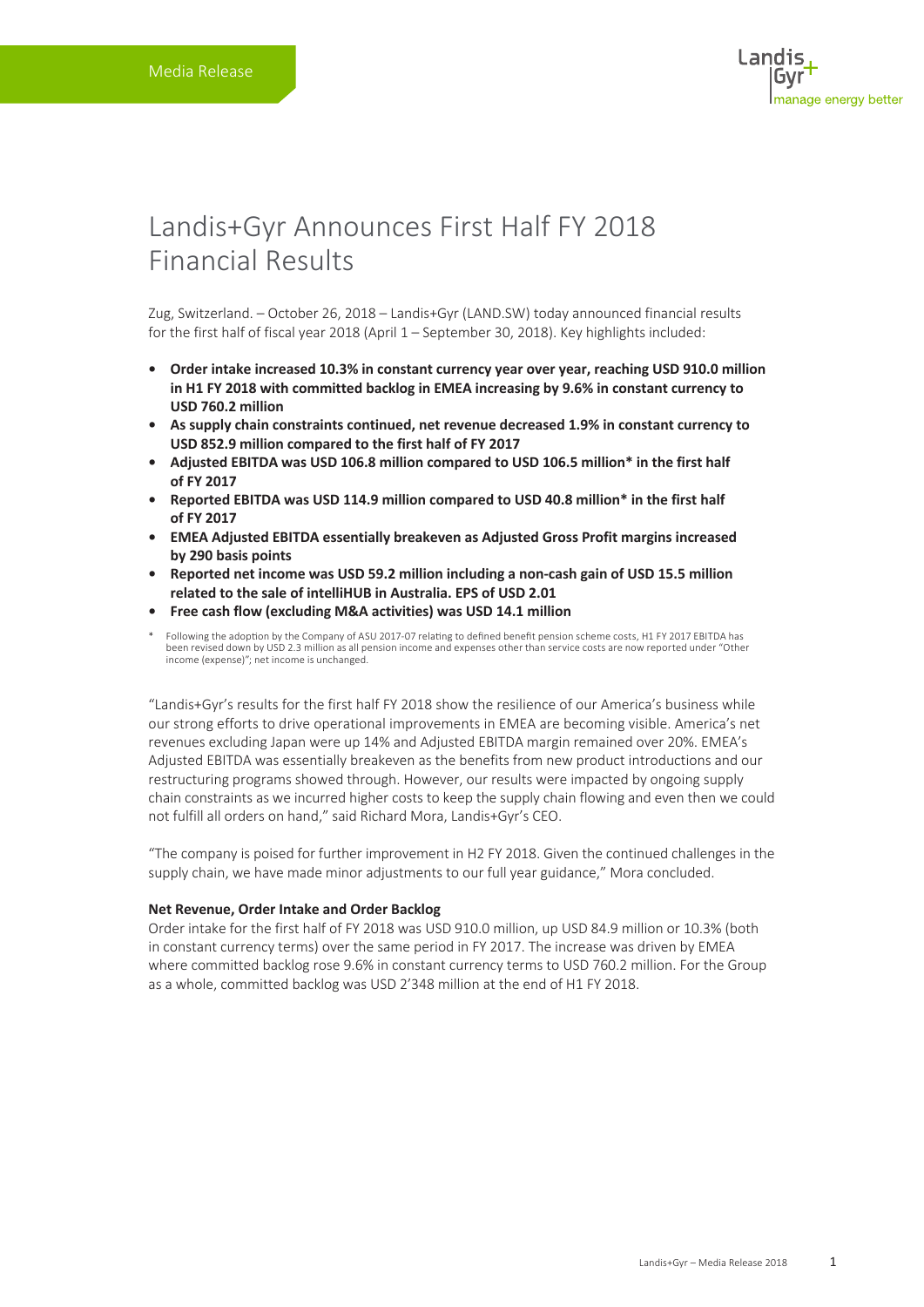# Landis+Gyr Announces First Half FY 2018 Financial Results

Zug, Switzerland. – October 26, 2018 – Landis+Gyr (LAND.SW) today announced financial results for the first half of fiscal year 2018 (April 1 – September 30, 2018). Key highlights included:

- **• Order intake increased 10.3% in constant currency year over year, reaching USD 910.0 million in H1 FY 2018 with committed backlog in EMEA increasing by 9.6% in constant currency to USD 760.2 million**
- **• As supply chain constraints continued, net revenue decreased 1.9% in constant currency to USD 852.9 million compared to the first half of FY 2017**
- **• Adjusted EBITDA was USD 106.8 million compared to USD 106.5 million\* in the first half of FY 2017**
- **• Reported EBITDA was USD 114.9 million compared to USD 40.8 million\* in the first half of FY 2017**
- **• EMEA Adjusted EBITDA essentially breakeven as Adjusted Gross Profit margins increased by 290 basis points**
- **• Reported net income was USD 59.2 million including a non-cash gain of USD 15.5 million related to the sale of intelliHUB in Australia. EPS of USD 2.01**
- **• Free cash flow (excluding M&A activities) was USD 14.1 million**
- \* Following the adoption by the Company of ASU 2017-07 relating to defined benefit pension scheme costs, H1 FY 2017 EBITDA has been revised down by USD 2.3 million as all pension income and expenses other than service costs are now reported under "Other income (expense)"; net income is unchanged.

"Landis+Gyr's results for the first half FY 2018 show the resilience of our America's business while our strong efforts to drive operational improvements in EMEA are becoming visible. America's net revenues excluding Japan were up 14% and Adjusted EBITDA margin remained over 20%. EMEA's Adjusted EBITDA was essentially breakeven as the benefits from new product introductions and our restructuring programs showed through. However, our results were impacted by ongoing supply chain constraints as we incurred higher costs to keep the supply chain flowing and even then we could not fulfill all orders on hand," said Richard Mora, Landis+Gyr's CEO.

"The company is poised for further improvement in H2 FY 2018. Given the continued challenges in the supply chain, we have made minor adjustments to our full year guidance," Mora concluded.

#### **Net Revenue, Order Intake and Order Backlog**

Order intake for the first half of FY 2018 was USD 910.0 million, up USD 84.9 million or 10.3% (both in constant currency terms) over the same period in FY 2017. The increase was driven by EMEA where committed backlog rose 9.6% in constant currency terms to USD 760.2 million. For the Group as a whole, committed backlog was USD 2'348 million at the end of H1 FY 2018.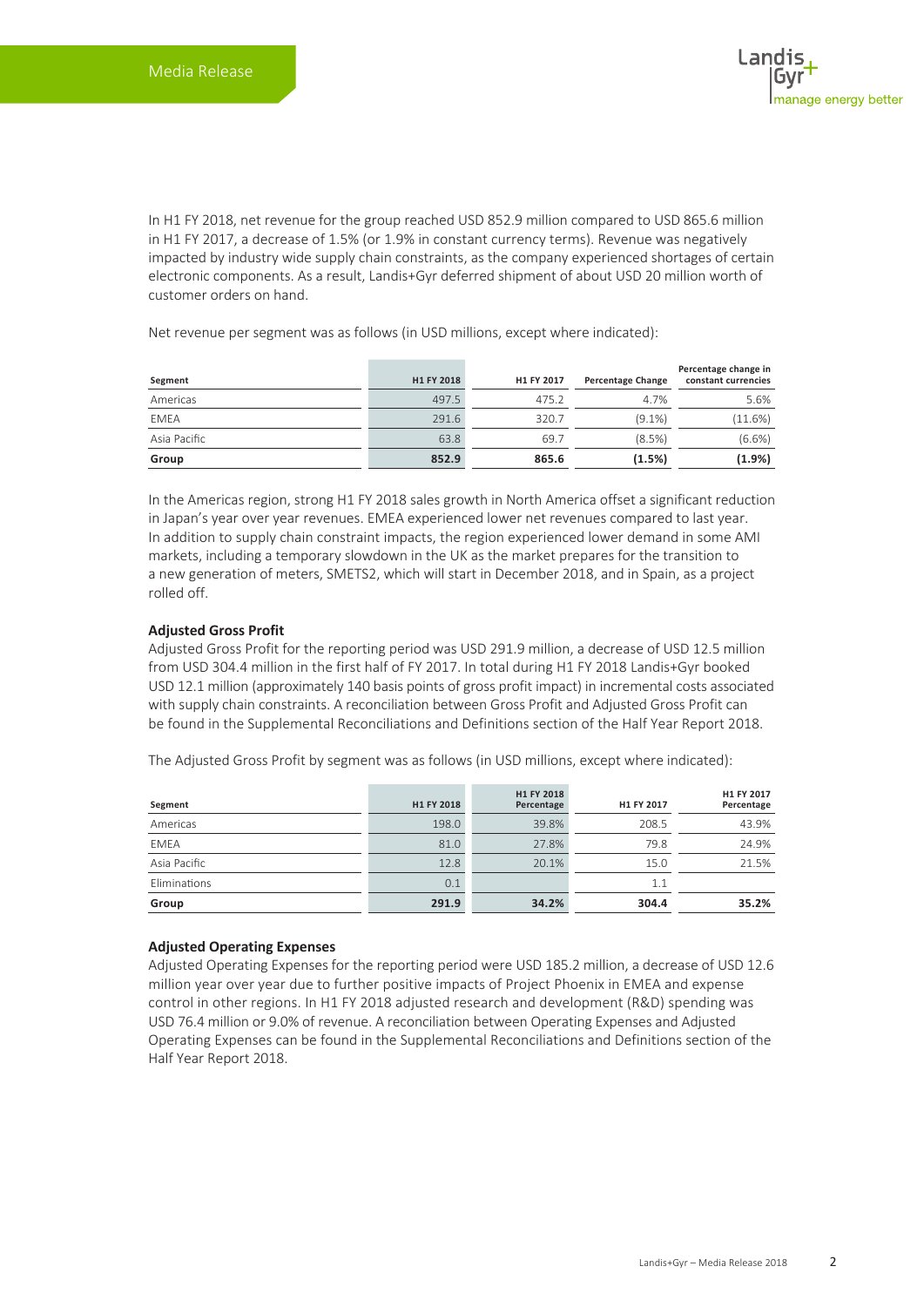In H1 FY 2018, net revenue for the group reached USD 852.9 million compared to USD 865.6 million in H1 FY 2017, a decrease of 1.5% (or 1.9% in constant currency terms). Revenue was negatively impacted by industry wide supply chain constraints, as the company experienced shortages of certain electronic components. As a result, Landis+Gyr deferred shipment of about USD 20 million worth of customer orders on hand.

Net revenue per segment was as follows (in USD millions, except where indicated):

| Segment      | H1 FY 2018 | H1 FY 2017 | <b>Percentage Change</b> | Percentage change in<br>constant currencies |
|--------------|------------|------------|--------------------------|---------------------------------------------|
| Americas     | 497.5      | 475.2      | 4.7%                     | 5.6%                                        |
| <b>EMEA</b>  | 291.6      | 320.7      | $(9.1\%)$                | (11.6%)                                     |
| Asia Pacific | 63.8       | 69.7       | (8.5%)                   | $(6.6\%)$                                   |
| Group        | 852.9      | 865.6      | (1.5%)                   | $(1.9\%)$                                   |

In the Americas region, strong H1 FY 2018 sales growth in North America offset a significant reduction in Japan's year over year revenues. EMEA experienced lower net revenues compared to last year. In addition to supply chain constraint impacts, the region experienced lower demand in some AMI markets, including a temporary slowdown in the UK as the market prepares for the transition to a new generation of meters, SMETS2, which will start in December 2018, and in Spain, as a project rolled off.

### **Adjusted Gross Profit**

Adjusted Gross Profit for the reporting period was USD 291.9 million, a decrease of USD 12.5 million from USD 304.4 million in the first half of FY 2017. In total during H1 FY 2018 Landis+Gyr booked USD 12.1 million (approximately 140 basis points of gross profit impact) in incremental costs associated with supply chain constraints. A reconciliation between Gross Profit and Adjusted Gross Profit can be found in the Supplemental Reconciliations and Definitions section of the Half Year Report 2018.

The Adjusted Gross Profit by segment was as follows (in USD millions, except where indicated):

| Segment      | H1 FY 2018 | H1 FY 2018<br>Percentage | H1 FY 2017 | H1 FY 2017<br>Percentage |
|--------------|------------|--------------------------|------------|--------------------------|
| Americas     | 198.0      | 39.8%                    | 208.5      | 43.9%                    |
| <b>EMEA</b>  | 81.0       | 27.8%                    | 79.8       | 24.9%                    |
| Asia Pacific | 12.8       | 20.1%                    | 15.0       | 21.5%                    |
| Eliminations | 0.1        |                          | 1.1        |                          |
| Group        | 291.9      | 34.2%                    | 304.4      | 35.2%                    |

## **Adjusted Operating Expenses**

Adjusted Operating Expenses for the reporting period were USD 185.2 million, a decrease of USD 12.6 million year over year due to further positive impacts of Project Phoenix in EMEA and expense control in other regions. In H1 FY 2018 adjusted research and development (R&D) spending was USD 76.4 million or 9.0% of revenue. A reconciliation between Operating Expenses and Adjusted Operating Expenses can be found in the Supplemental Reconciliations and Definitions section of the Half Year Report 2018.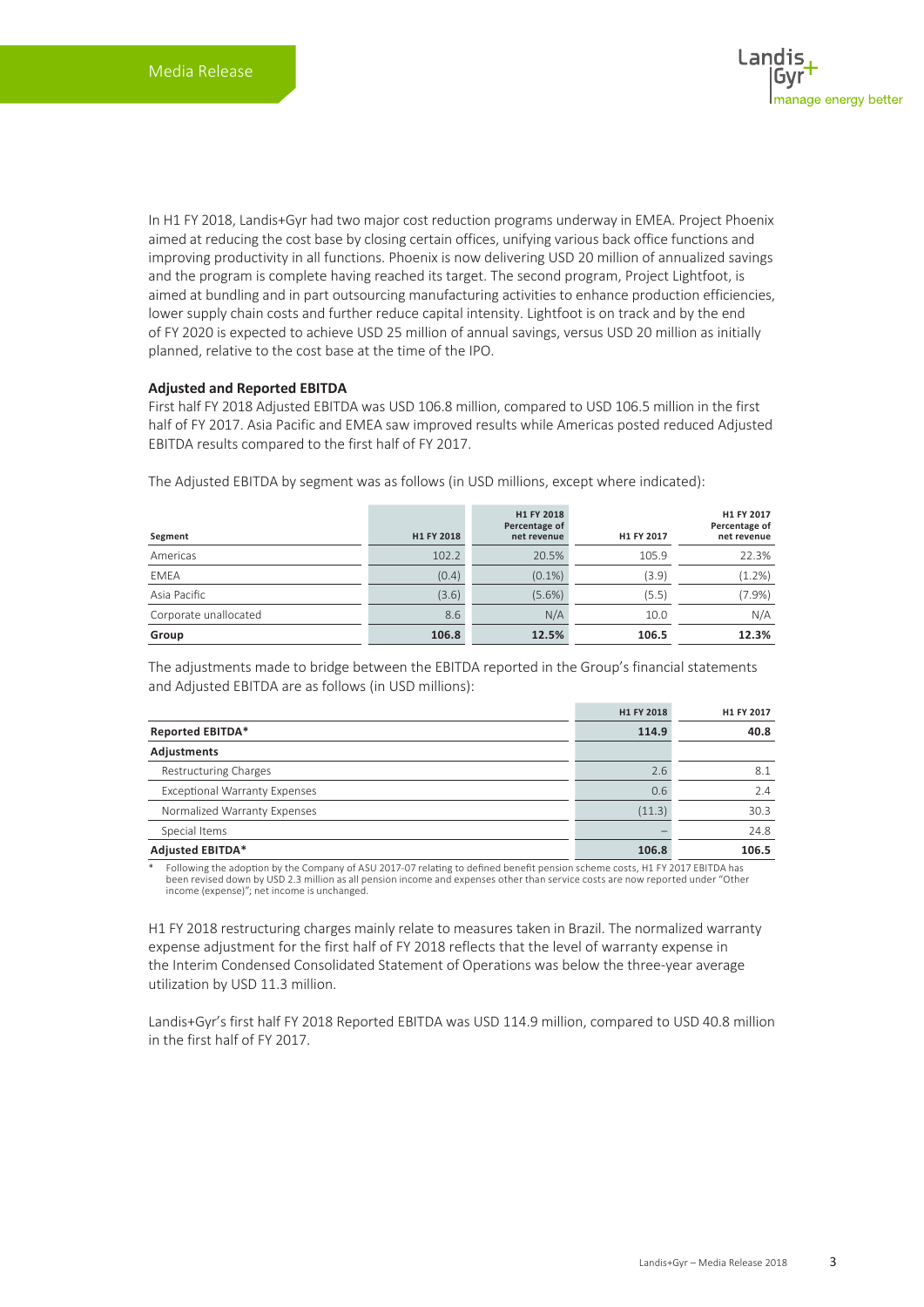In H1 FY 2018, Landis+Gyr had two major cost reduction programs underway in EMEA. Project Phoenix aimed at reducing the cost base by closing certain offices, unifying various back office functions and improving productivity in all functions. Phoenix is now delivering USD 20 million of annualized savings and the program is complete having reached its target. The second program, Project Lightfoot, is aimed at bundling and in part outsourcing manufacturing activities to enhance production efficiencies, lower supply chain costs and further reduce capital intensity. Lightfoot is on track and by the end of FY 2020 is expected to achieve USD 25 million of annual savings, versus USD 20 million as initially planned, relative to the cost base at the time of the IPO.

#### **Adjusted and Reported EBITDA**

First half FY 2018 Adjusted EBITDA was USD 106.8 million, compared to USD 106.5 million in the first half of FY 2017. Asia Pacific and EMEA saw improved results while Americas posted reduced Adjusted EBITDA results compared to the first half of FY 2017.

| Segment               | H1 FY 2018 | H1 FY 2018<br>Percentage of<br>net revenue | H1 FY 2017 | H1 FY 2017<br>Percentage of<br>net revenue |
|-----------------------|------------|--------------------------------------------|------------|--------------------------------------------|
| Americas              | 102.2      | 20.5%                                      | 105.9      | 22.3%                                      |
| <b>EMEA</b>           | (0.4)      | $(0.1\%)$                                  | (3.9)      | (1.2%)                                     |
| Asia Pacific          | (3.6)      | (5.6%)                                     | (5.5)      | $(7.9\%)$                                  |
| Corporate unallocated | 8.6        | N/A                                        | 10.0       | N/A                                        |
| Group                 | 106.8      | 12.5%                                      | 106.5      | 12.3%                                      |

The Adjusted EBITDA by segment was as follows (in USD millions, except where indicated):

The adjustments made to bridge between the EBITDA reported in the Group's financial statements and Adjusted EBITDA are as follows (in USD millions):

|                                      | H1 FY 2018 | H1 FY 2017 |
|--------------------------------------|------------|------------|
| <b>Reported EBITDA*</b>              | 114.9      | 40.8       |
| Adjustments                          |            |            |
| <b>Restructuring Charges</b>         | 2.6        | 8.1        |
| <b>Exceptional Warranty Expenses</b> | 0.6        | 2.4        |
| Normalized Warranty Expenses         | (11.3)     | 30.3       |
| Special Items                        |            | 24.8       |
| <b>Adjusted EBITDA*</b>              | 106.8      | 106.5      |

\* Following the adoption by the Company of ASU 2017-07 relating to defined benefit pension scheme costs, H1 FY 2017 EBITDA has been revised down by USD 2.3 million as all pension income and expenses other than service costs are now reported under "Other income (expense)"; net income is unchanged.

H1 FY 2018 restructuring charges mainly relate to measures taken in Brazil. The normalized warranty expense adjustment for the first half of FY 2018 reflects that the level of warranty expense in the Interim Condensed Consolidated Statement of Operations was below the three-year average utilization by USD 11.3 million.

Landis+Gyr's first half FY 2018 Reported EBITDA was USD 114.9 million, compared to USD 40.8 million in the first half of FY 2017.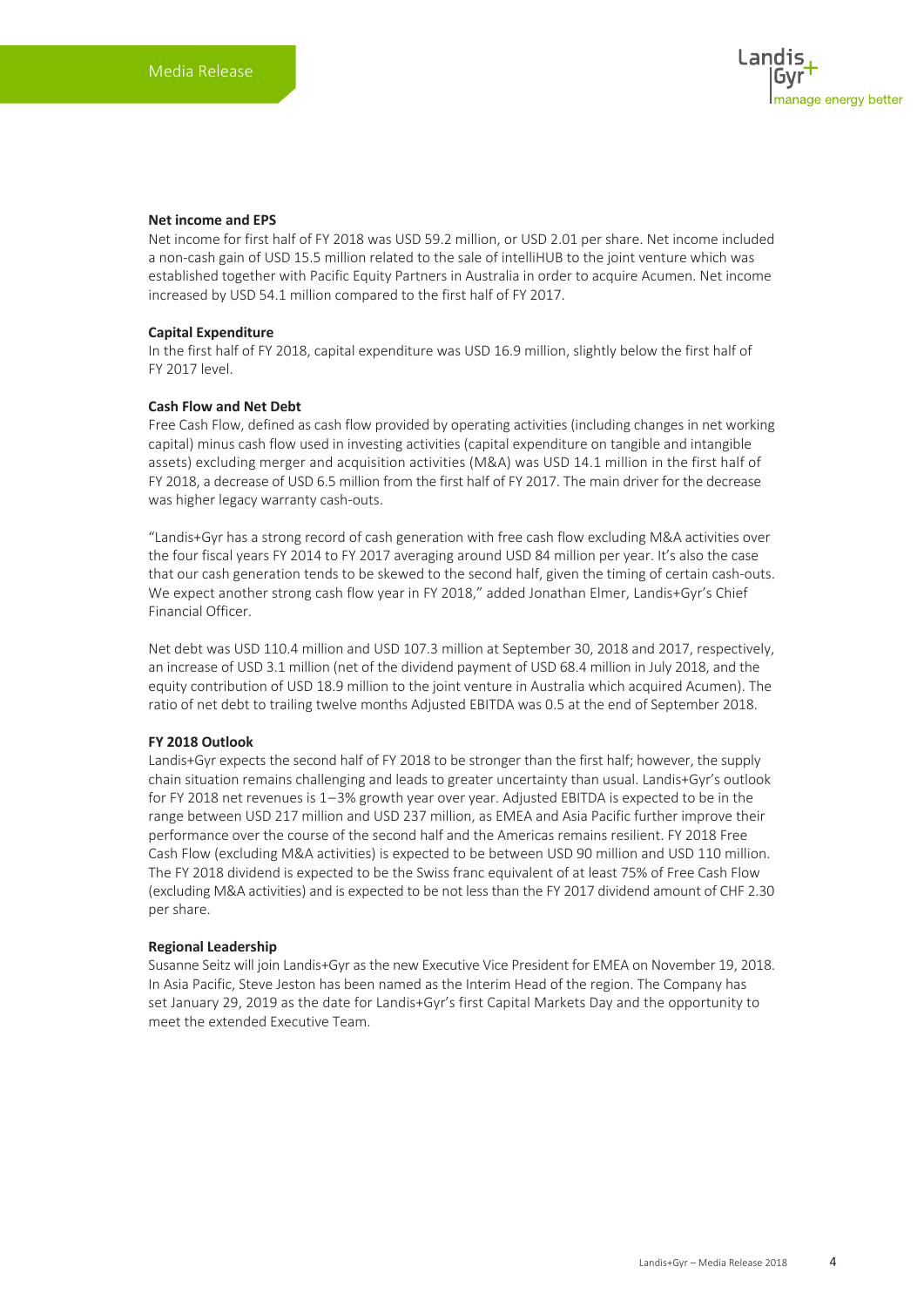### **Net income and EPS**

Net income for first half of FY 2018 was USD 59.2 million, or USD 2.01 per share. Net income included a non-cash gain of USD 15.5 million related to the sale of intelliHUB to the joint venture which was established together with Pacific Equity Partners in Australia in order to acquire Acumen. Net income increased by USD 54.1 million compared to the first half of FY 2017.

#### **Capital Expenditure**

In the first half of FY 2018, capital expenditure was USD 16.9 million, slightly below the first half of FY 2017 level.

#### **Cash Flow and Net Debt**

Free Cash Flow, defined as cash flow provided by operating activities (including changes in net working capital) minus cash flow used in investing activities (capital expenditure on tangible and intangible assets) excluding merger and acquisition activities (M&A) was USD 14.1 million in the first half of FY 2018, a decrease of USD 6.5 million from the first half of FY 2017. The main driver for the decrease was higher legacy warranty cash-outs.

"Landis+Gyr has a strong record of cash generation with free cash flow excluding M&A activities over the four fiscal years FY 2014 to FY 2017 averaging around USD 84 million per year. It's also the case that our cash generation tends to be skewed to the second half, given the timing of certain cash-outs. We expect another strong cash flow year in FY 2018," added Jonathan Elmer, Landis+Gyr's Chief Financial Officer.

Net debt was USD 110.4 million and USD 107.3 million at September 30, 2018 and 2017, respectively, an increase of USD 3.1 million (net of the dividend payment of USD 68.4 million in July 2018, and the equity contribution of USD 18.9 million to the joint venture in Australia which acquired Acumen). The ratio of net debt to trailing twelve months Adjusted EBITDA was 0.5 at the end of September 2018.

### **FY 2018 Outlook**

Landis+Gyr expects the second half of FY 2018 to be stronger than the first half; however, the supply chain situation remains challenging and leads to greater uncertainty than usual. Landis+Gyr's outlook for FY 2018 net revenues is 1 – 3% growth year over year. Adjusted EBITDA is expected to be in the range between USD 217 million and USD 237 million, as EMEA and Asia Pacific further improve their performance over the course of the second half and the Americas remains resilient. FY 2018 Free Cash Flow (excluding M&A activities) is expected to be between USD 90 million and USD 110 million. The FY 2018 dividend is expected to be the Swiss franc equivalent of at least 75% of Free Cash Flow (excluding M&A activities) and is expected to be not less than the FY 2017 dividend amount of CHF 2.30 per share.

#### **Regional Leadership**

Susanne Seitz will join Landis+Gyr as the new Executive Vice President for EMEA on November 19, 2018. In Asia Pacific, Steve Jeston has been named as the Interim Head of the region. The Company has set January 29, 2019 as the date for Landis+Gyr's first Capital Markets Day and the opportunity to meet the extended Executive Team.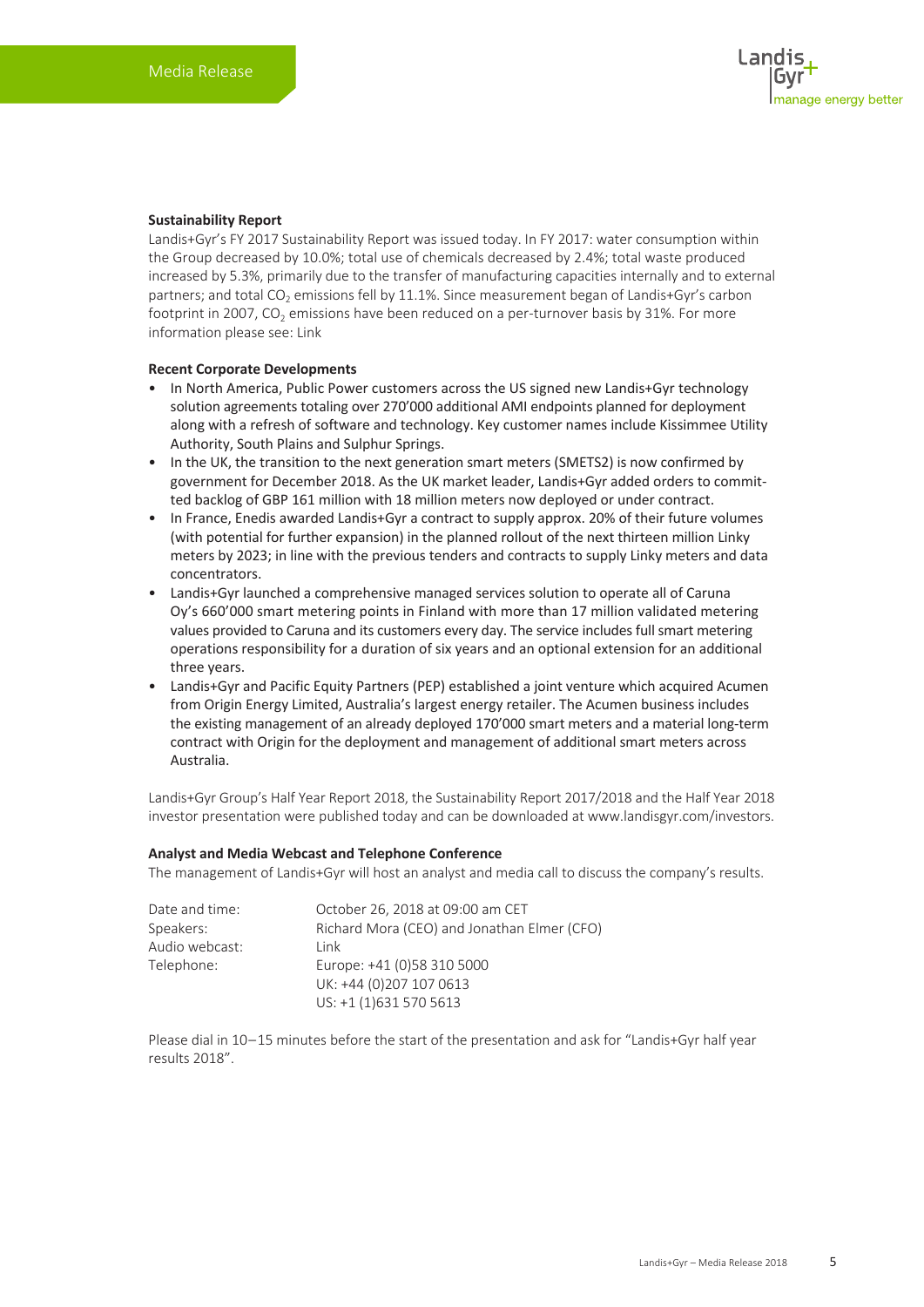### **Sustainability Report**

Landis+Gyr's FY 2017 Sustainability Report was issued today. In FY 2017: water consumption within the Group decreased by 10.0%; total use of chemicals decreased by 2.4%; total waste produced increased by 5.3%, primarily due to the transfer of manufacturing capacities internally and to external partners; and total  $CO<sub>2</sub>$  emissions fell by 11.1%. Since measurement began of Landis+Gyr's carbon footprint in 2007, CO<sub>2</sub> emissions have been reduced on a per-turnover basis by 31%. For more information please see: [Link](https://www.landisgyr.com/webfoo/wp-content/uploads/2018/10/LandisGyr_Sustainability_Report_17-18.pdf)

#### **Recent Corporate Developments**

- In North America, Public Power customers across the US signed new Landis+Gyr technology solution agreements totaling over 270'000 additional AMI endpoints planned for deployment along with a refresh of software and technology. Key customer names include Kissimmee Utility Authority, South Plains and Sulphur Springs.
- In the UK, the transition to the next generation smart meters (SMETS2) is now confirmed by government for December 2018. As the UK market leader, Landis+Gyr added orders to committed backlog of GBP 161 million with 18 million meters now deployed or under contract.
- In France, Enedis awarded Landis+Gyr a contract to supply approx. 20% of their future volumes (with potential for further expansion) in the planned rollout of the next thirteen million Linky meters by 2023; in line with the previous tenders and contracts to supply Linky meters and data concentrators.
- Landis+Gyr launched a comprehensive managed services solution to operate all of Caruna Oy's 660'000 smart metering points in Finland with more than 17 million validated metering values provided to Caruna and its customers every day. The service includes full smart metering operations responsibility for a duration of six years and an optional extension for an additional three years.
- Landis+Gyr and Pacific Equity Partners (PEP) established a joint venture which acquired Acumen from Origin Energy Limited, Australia's largest energy retailer. The Acumen business includes the existing management of an already deployed 170'000 smart meters and a material long-term contract with Origin for the deployment and management of additional smart meters across Australia.

Landis+Gyr Group's Half Year Report 2018, the Sustainability Report 2017/2018 and the Half Year 2018 investor presentation were published today and can be downloaded at www.landisgyr.com/investors.

#### **Analyst and Media Webcast and Telephone Conference**

The management of Landis+Gyr will host an analyst and media call to discuss the company's results.

| Date and time: | October 26, 2018 at 09:00 am CET            |
|----------------|---------------------------------------------|
| Speakers:      | Richard Mora (CEO) and Jonathan Elmer (CFO) |
| Audio webcast: | I ink                                       |
| Telephone:     | Europe: +41 (0)58 310 5000                  |
|                | UK: +44 (0)207 107 0613                     |
|                | US: +1 (1)631 570 5613                      |

Please dial in 10 – 15 minutes before the start of the presentation and ask for "Landis+Gyr half year results 2018".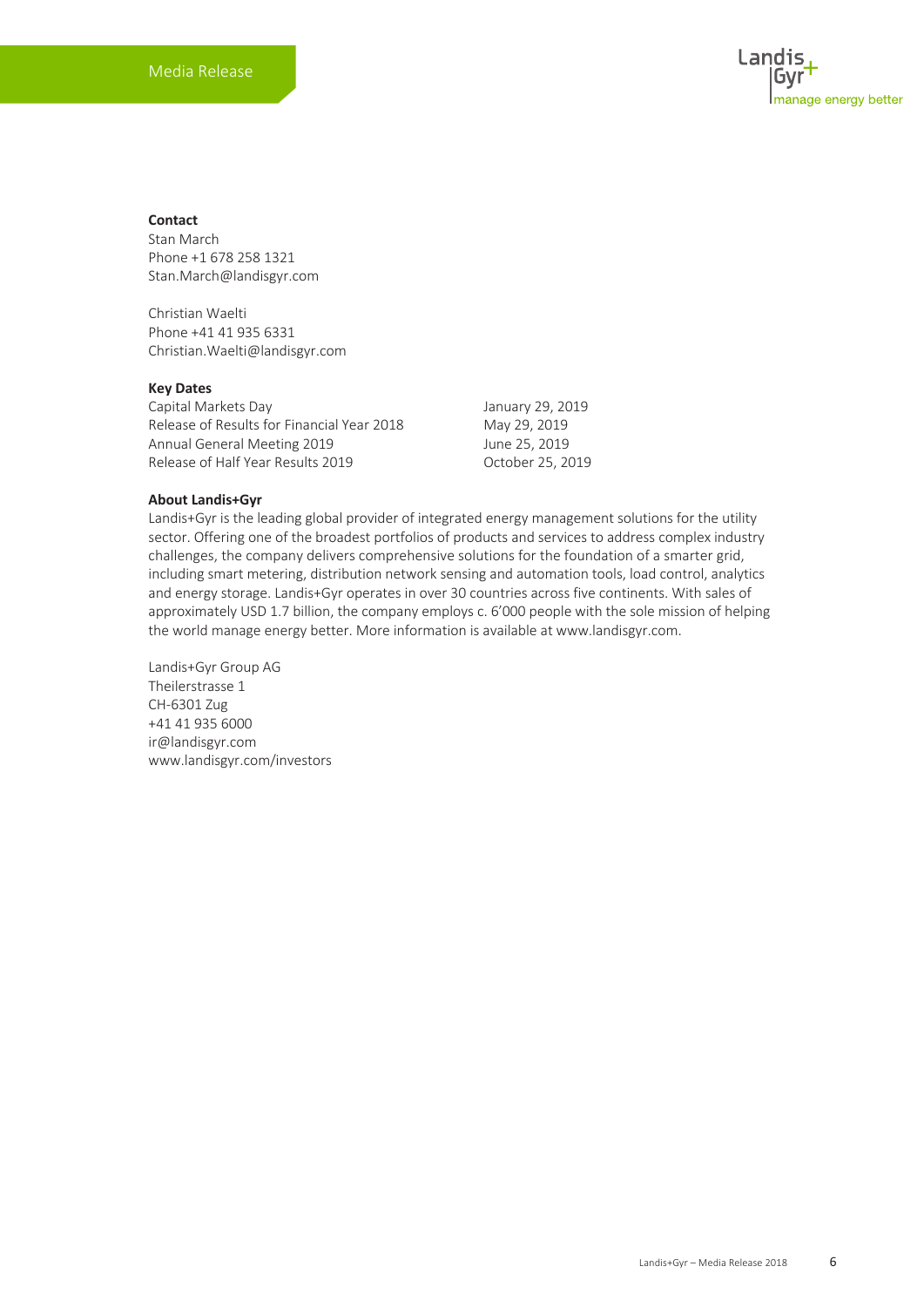### **Contact**

Stan March Phone +1 678 258 1321 Stan.March@landisgyr.com

Christian Waelti Phone +41 41 935 6331 Christian.Waelti@landisgyr.com

#### **Key Dates**

Capital Markets Day January 29, 2019 Release of Results for Financial Year 2018 May 29, 2019 Annual General Meeting 2019 **June 25, 2019** Release of Half Year Results 2019 October 25, 2019

### **About Landis+Gyr**

Landis+Gyr is the leading global provider of integrated energy management solutions for the utility sector. Offering one of the broadest portfolios of products and services to address complex industry challenges, the company delivers comprehensive solutions for the foundation of a smarter grid, including smart metering, distribution network sensing and automation tools, load control, analytics and energy storage. Landis+Gyr operates in over 30 countries across five continents. With sales of approximately USD 1.7 billion, the company employs c. 6'000 people with the sole mission of helping the world manage energy better. More information is available at www.landisgyr.com.

Landis+Gyr Group AG Theilerstrasse 1 CH-6301 Zug +41 41 935 6000 ir@landisgyr.com www.landisgyr.com/investors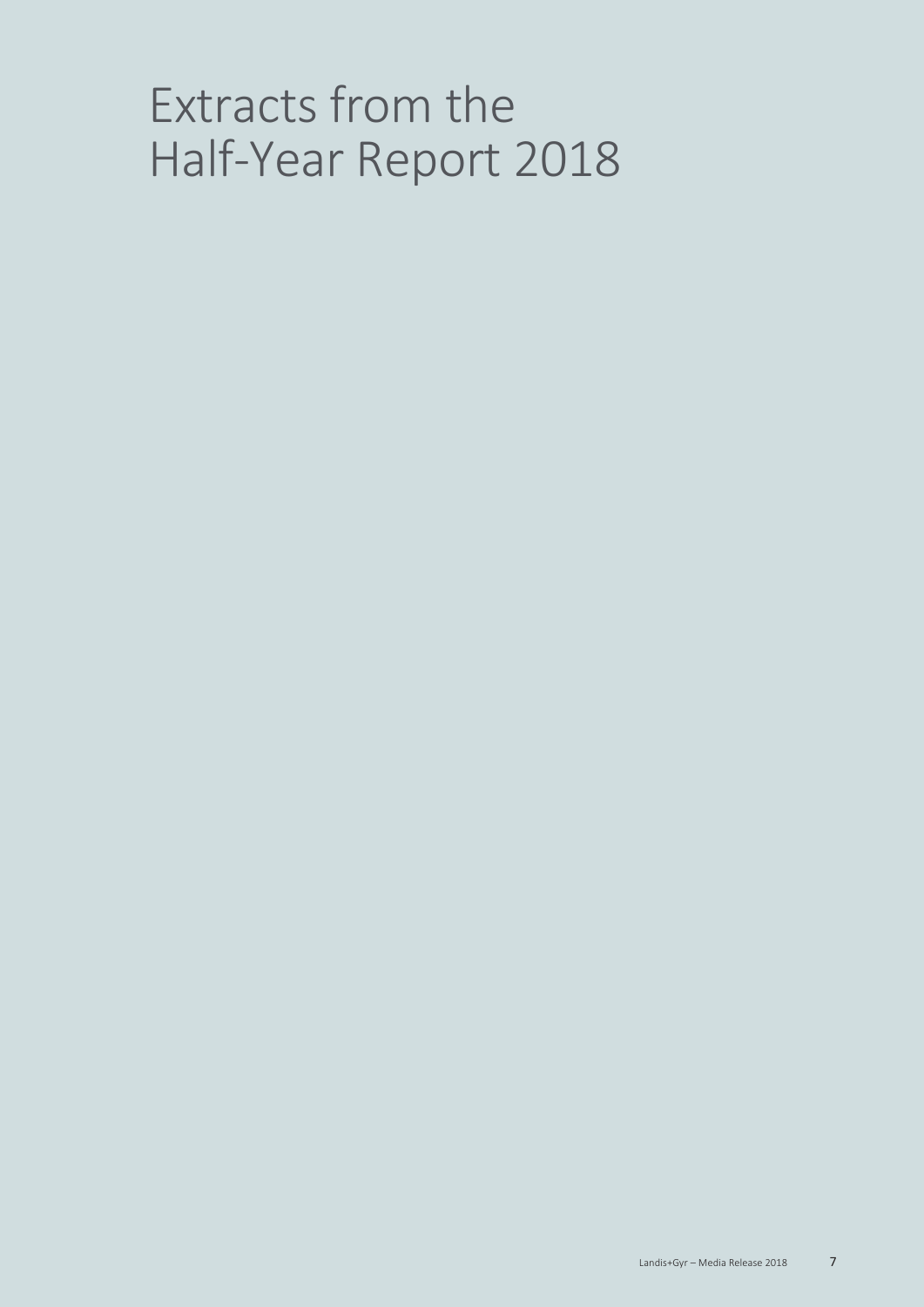# Extracts from the Half-Year Report 2018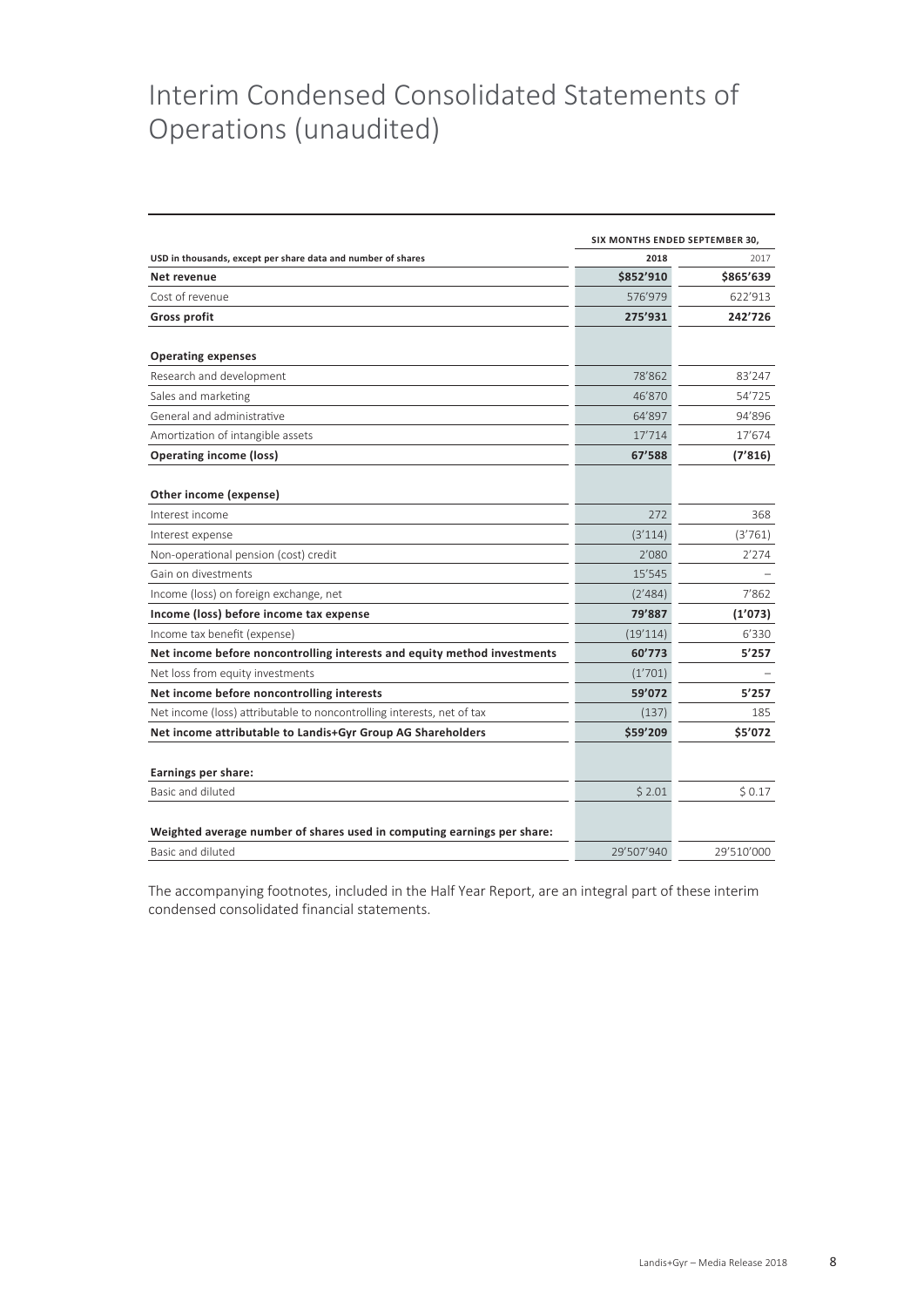# Interim Condensed Consolidated Statements of Operations (unaudited)

|                                                                          | SIX MONTHS ENDED SEPTEMBER 30, |            |
|--------------------------------------------------------------------------|--------------------------------|------------|
| USD in thousands, except per share data and number of shares             | 2018                           | 2017       |
| Net revenue                                                              | \$852'910                      | \$865'639  |
| Cost of revenue                                                          | 576'979                        | 622'913    |
| <b>Gross profit</b>                                                      | 275'931                        | 242'726    |
| <b>Operating expenses</b>                                                |                                |            |
| Research and development                                                 | 78'862                         | 83'247     |
| Sales and marketing                                                      | 46'870                         | 54'725     |
| General and administrative                                               | 64'897                         | 94'896     |
| Amortization of intangible assets                                        | 17'714                         | 17'674     |
| <b>Operating income (loss)</b>                                           | 67'588                         | (7'816)    |
| Other income (expense)                                                   |                                |            |
| Interest income                                                          | 272                            | 368        |
| Interest expense                                                         | (3'114)                        | (3'761)    |
| Non-operational pension (cost) credit                                    | 2'080                          | 2'274      |
| Gain on divestments                                                      | 15'545                         |            |
| Income (loss) on foreign exchange, net                                   | (2'484)                        | 7'862      |
| Income (loss) before income tax expense                                  | 79'887                         | (1'073)    |
| Income tax benefit (expense)                                             | (19'114)                       | 6'330      |
| Net income before noncontrolling interests and equity method investments | 60'773                         | 5'257      |
| Net loss from equity investments                                         | (1'701)                        |            |
| Net income before noncontrolling interests                               | 59'072                         | 5'257      |
| Net income (loss) attributable to noncontrolling interests, net of tax   | (137)                          | 185        |
| Net income attributable to Landis+Gyr Group AG Shareholders              | \$59'209                       | \$5'072    |
| Earnings per share:                                                      |                                |            |
| Basic and diluted                                                        | \$2.01                         | \$0.17     |
| Weighted average number of shares used in computing earnings per share:  |                                |            |
| Basic and diluted                                                        | 29'507'940                     | 29'510'000 |

The accompanying footnotes, included in the Half Year Report, are an integral part of these interim condensed consolidated financial statements.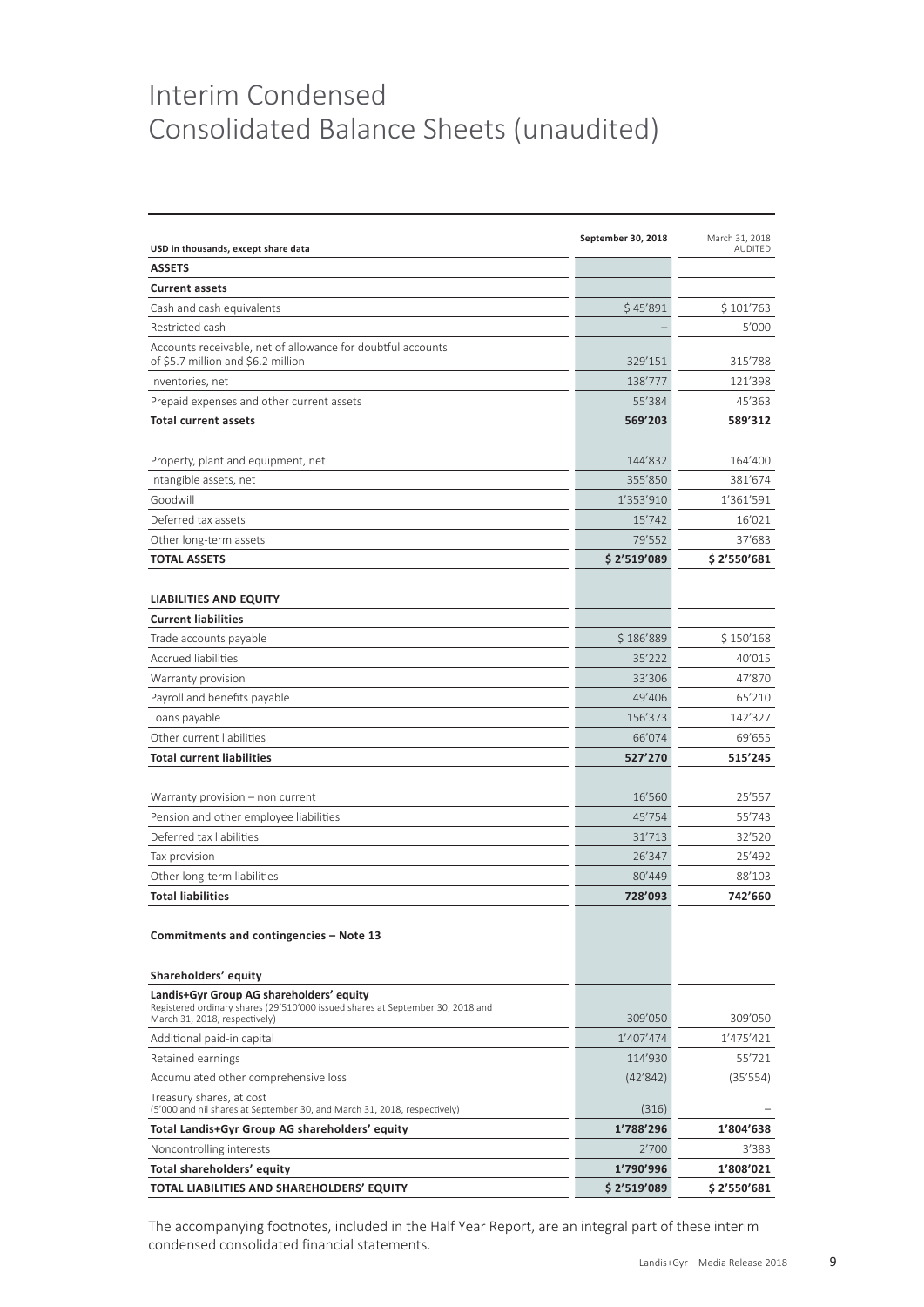# Interim Condensed Consolidated Balance Sheets (unaudited)

|                                                                                                                            | September 30, 2018 | March 31, 2018 |
|----------------------------------------------------------------------------------------------------------------------------|--------------------|----------------|
| USD in thousands, except share data                                                                                        |                    | <b>AUDITED</b> |
| <b>ASSETS</b>                                                                                                              |                    |                |
| <b>Current assets</b>                                                                                                      |                    |                |
| Cash and cash equivalents                                                                                                  | \$45'891           | \$101'763      |
| Restricted cash                                                                                                            |                    | 5'000          |
| Accounts receivable, net of allowance for doubtful accounts<br>of \$5.7 million and \$6.2 million                          | 329'151            | 315'788        |
| Inventories, net                                                                                                           | 138'777            | 121'398        |
| Prepaid expenses and other current assets                                                                                  | 55'384             | 45'363         |
| <b>Total current assets</b>                                                                                                | 569'203            | 589'312        |
|                                                                                                                            |                    |                |
| Property, plant and equipment, net                                                                                         | 144'832            | 164'400        |
| Intangible assets, net                                                                                                     | 355'850            | 381'674        |
| Goodwill                                                                                                                   | 1'353'910          | 1'361'591      |
| Deferred tax assets                                                                                                        | 15'742             | 16'021         |
| Other long-term assets                                                                                                     | 79'552             | 37'683         |
| <b>TOTAL ASSETS</b>                                                                                                        | \$2'519'089        | \$2'550'681    |
|                                                                                                                            |                    |                |
| <b>LIABILITIES AND EQUITY</b>                                                                                              |                    |                |
| <b>Current liabilities</b>                                                                                                 |                    |                |
| Trade accounts payable                                                                                                     | \$186'889          | \$150'168      |
| Accrued liabilities                                                                                                        | 35'222             | 40'015         |
| Warranty provision                                                                                                         | 33'306             | 47'870         |
| Payroll and benefits payable                                                                                               | 49'406             | 65'210         |
| Loans payable                                                                                                              | 156'373            | 142'327        |
| Other current liabilities                                                                                                  | 66'074             | 69'655         |
| <b>Total current liabilities</b>                                                                                           | 527'270            | 515'245        |
|                                                                                                                            |                    |                |
| Warranty provision – non current                                                                                           | 16'560             | 25'557         |
| Pension and other employee liabilities                                                                                     | 45'754             | 55'743         |
| Deferred tax liabilities                                                                                                   | 31'713             | 32'520         |
| Tax provision                                                                                                              | 26'347             | 25'492         |
| Other long-term liabilities                                                                                                | 80'449             | 88'103         |
| <b>Total liabilities</b>                                                                                                   | 728'093            | 742'660        |
|                                                                                                                            |                    |                |
| Commitments and contingencies - Note 13                                                                                    |                    |                |
|                                                                                                                            |                    |                |
| Shareholders' equity                                                                                                       |                    |                |
| Landis+Gyr Group AG shareholders' equity<br>Registered ordinary shares (29'510'000 issued shares at September 30, 2018 and |                    |                |
| March 31, 2018, respectively)                                                                                              | 309'050            | 309'050        |
| Additional paid-in capital                                                                                                 | 1'407'474          | 1'475'421      |
| Retained earnings                                                                                                          | 114'930            | 55'721         |
| Accumulated other comprehensive loss                                                                                       | (42'842)           | (35'554)       |
| Treasury shares, at cost<br>(5'000 and nil shares at September 30, and March 31, 2018, respectively)                       | (316)              |                |
| Total Landis+Gyr Group AG shareholders' equity                                                                             | 1'788'296          | 1'804'638      |
| Noncontrolling interests                                                                                                   | 2'700              | 3'383          |
| Total shareholders' equity                                                                                                 | 1'790'996          | 1'808'021      |
| TOTAL LIABILITIES AND SHAREHOLDERS' EQUITY                                                                                 | \$2'519'089        | \$2′550′681    |

The accompanying footnotes, included in the Half Year Report, are an integral part of these interim condensed consolidated financial statements.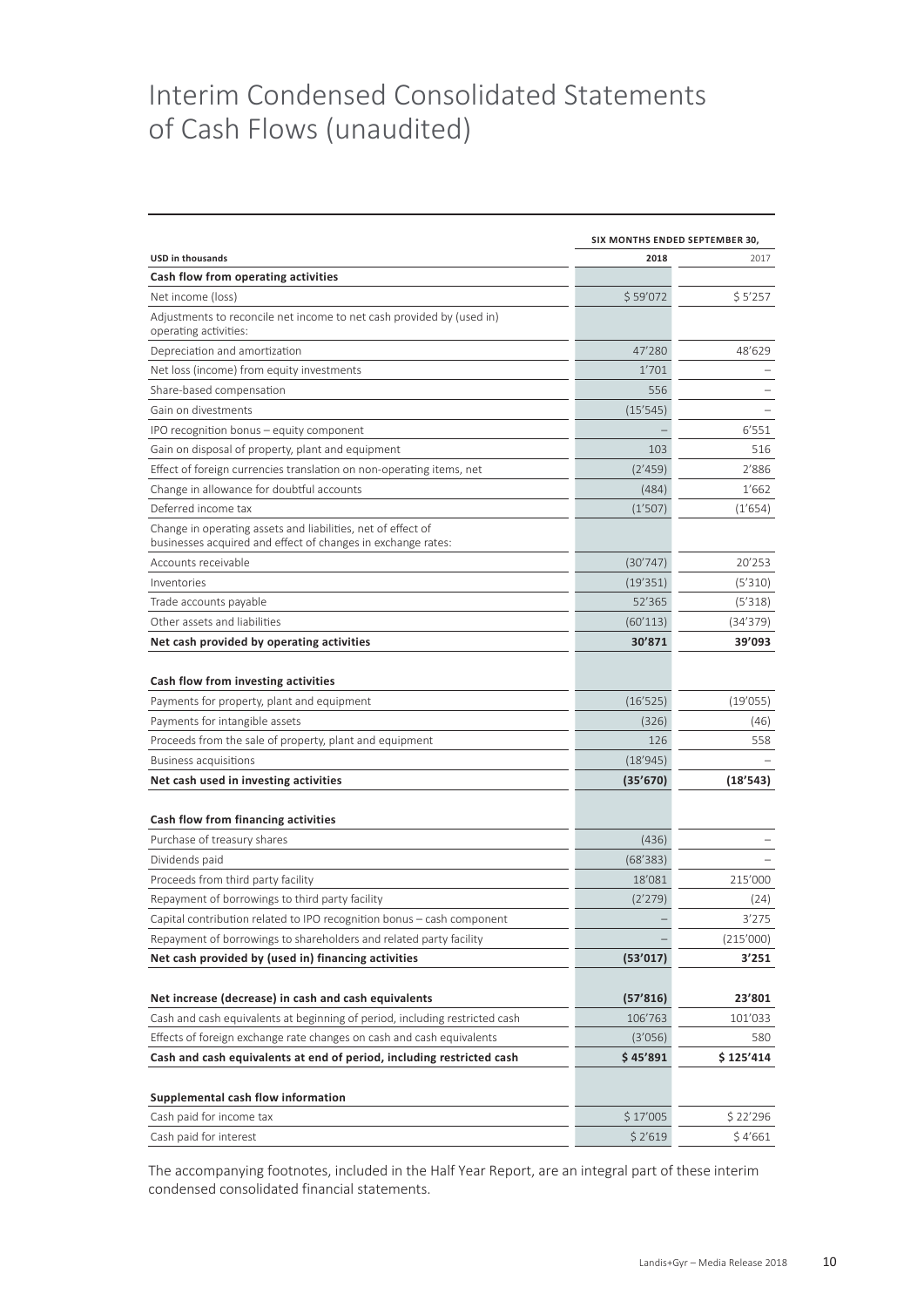# Interim Condensed Consolidated Statements of Cash Flows (unaudited)

|                                                                                                                              | SIX MONTHS ENDED SEPTEMBER 30, |           |  |  |
|------------------------------------------------------------------------------------------------------------------------------|--------------------------------|-----------|--|--|
| <b>USD in thousands</b>                                                                                                      | 2018                           | 2017      |  |  |
| Cash flow from operating activities                                                                                          |                                |           |  |  |
| Net income (loss)                                                                                                            | \$59'072                       | \$5'257   |  |  |
| Adjustments to reconcile net income to net cash provided by (used in)<br>operating activities:                               |                                |           |  |  |
| Depreciation and amortization                                                                                                | 47'280                         | 48'629    |  |  |
| Net loss (income) from equity investments                                                                                    | 1'701                          |           |  |  |
| Share-based compensation                                                                                                     | 556                            |           |  |  |
| Gain on divestments                                                                                                          | (15'545)                       |           |  |  |
| IPO recognition bonus - equity component                                                                                     |                                | 6'551     |  |  |
| Gain on disposal of property, plant and equipment                                                                            | 103                            | 516       |  |  |
| Effect of foreign currencies translation on non-operating items, net                                                         | (2'459)                        | 2'886     |  |  |
| Change in allowance for doubtful accounts                                                                                    | (484)                          | 1'662     |  |  |
| Deferred income tax                                                                                                          | (1'507)                        | (1'654)   |  |  |
| Change in operating assets and liabilities, net of effect of<br>businesses acquired and effect of changes in exchange rates: |                                |           |  |  |
| Accounts receivable                                                                                                          | (30'747)                       | 20'253    |  |  |
| Inventories                                                                                                                  | (19'351)                       | (5'310)   |  |  |
| Trade accounts payable                                                                                                       | 52'365                         | (5'318)   |  |  |
| Other assets and liabilities                                                                                                 | (60'113)                       | (34'379)  |  |  |
| Net cash provided by operating activities                                                                                    | 30'871                         | 39'093    |  |  |
| Cash flow from investing activities                                                                                          |                                |           |  |  |
| Payments for property, plant and equipment                                                                                   | (16'525)                       | (19'055)  |  |  |
| Payments for intangible assets                                                                                               | (326)                          | (46)      |  |  |
| Proceeds from the sale of property, plant and equipment                                                                      | 126                            | 558       |  |  |
| <b>Business acquisitions</b>                                                                                                 | (18'945)                       |           |  |  |
| Net cash used in investing activities                                                                                        | (35'670)                       | (18'543)  |  |  |
| Cash flow from financing activities                                                                                          |                                |           |  |  |
| Purchase of treasury shares                                                                                                  | (436)                          |           |  |  |
| Dividends paid                                                                                                               | (68'383)                       |           |  |  |
| Proceeds from third party facility                                                                                           | 18'081                         | 215'000   |  |  |
| Repayment of borrowings to third party facility                                                                              | (2'279)                        | (24)      |  |  |
| Capital contribution related to IPO recognition bonus - cash component                                                       |                                | 3'275     |  |  |
| Repayment of borrowings to shareholders and related party facility                                                           |                                | (215'000) |  |  |
| Net cash provided by (used in) financing activities                                                                          | (53'017)                       | 3'251     |  |  |
|                                                                                                                              |                                |           |  |  |
| Net increase (decrease) in cash and cash equivalents                                                                         | (57'816)                       | 23'801    |  |  |
| Cash and cash equivalents at beginning of period, including restricted cash                                                  | 106'763                        | 101'033   |  |  |
| Effects of foreign exchange rate changes on cash and cash equivalents                                                        | (3'056)                        | 580       |  |  |
| Cash and cash equivalents at end of period, including restricted cash                                                        | \$45'891                       | \$125'414 |  |  |
|                                                                                                                              |                                |           |  |  |
| Supplemental cash flow information                                                                                           |                                |           |  |  |
| Cash paid for income tax                                                                                                     | \$ 17'005                      | \$22'296  |  |  |
| Cash paid for interest                                                                                                       | \$2'619                        | \$4'661   |  |  |

The accompanying footnotes, included in the Half Year Report, are an integral part of these interim condensed consolidated financial statements.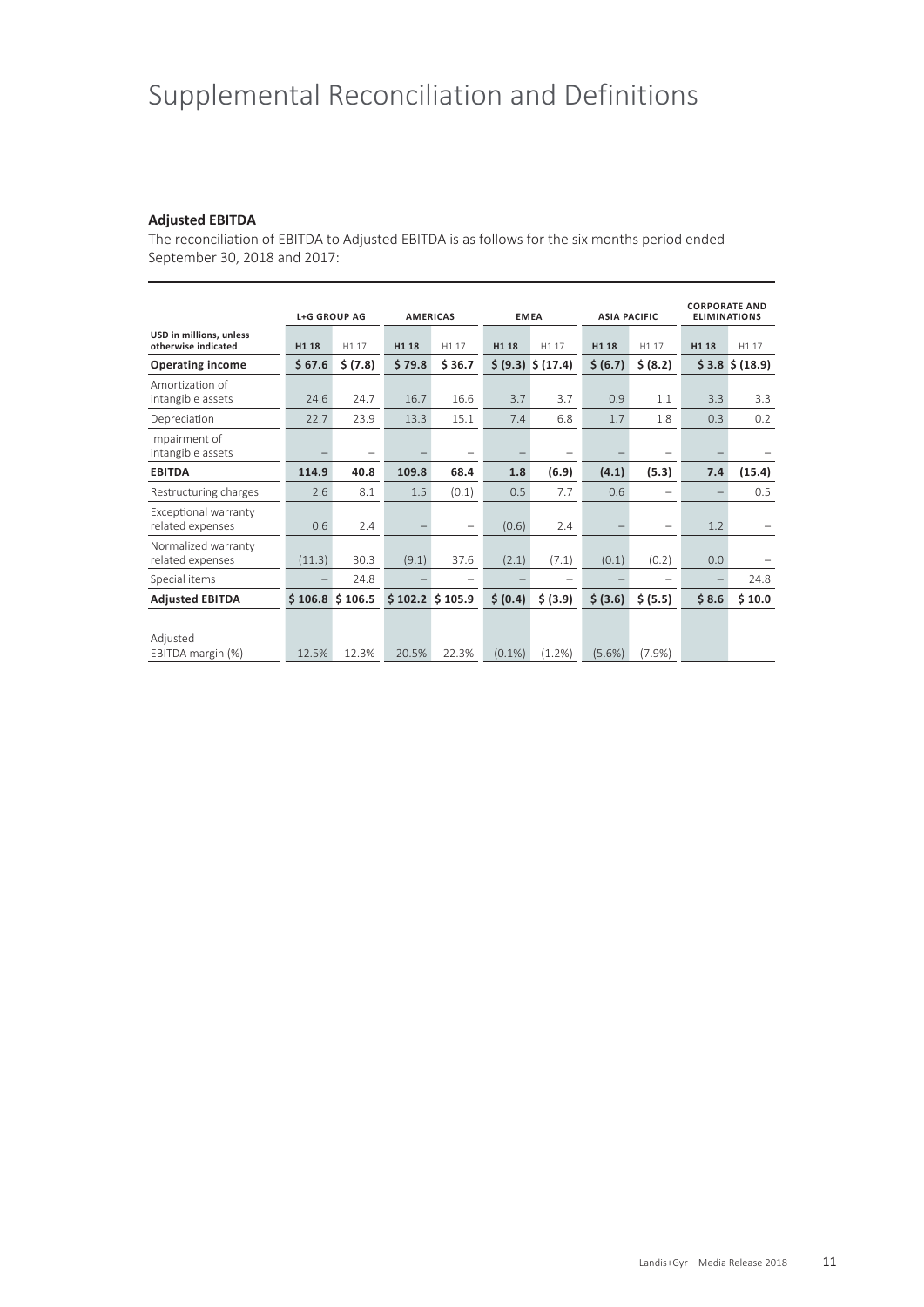# Supplemental Reconciliation and Definitions

### **Adjusted EBITDA**

The reconciliation of EBITDA to Adjusted EBITDA is as follows for the six months period ended September 30, 2018 and 2017:

|                                                | <b>L+G GROUP AG</b> |                          | <b>AMERICAS</b> |                          | <b>EMEA</b> |                                          | <b>ASIA PACIFIC</b> |          | <b>CORPORATE AND</b><br><b>ELIMINATIONS</b> |                  |
|------------------------------------------------|---------------------|--------------------------|-----------------|--------------------------|-------------|------------------------------------------|---------------------|----------|---------------------------------------------|------------------|
| USD in millions, unless<br>otherwise indicated | H1 18               | H1 17                    | H1 18           | H1 17                    | H1 18       | H1 17                                    | H1 18               | H1 17    | H1 18                                       | H1 17            |
| <b>Operating income</b>                        | \$67.6              | \$ (7.8)                 | \$79.8          | \$36.7                   |             | $\frac{1}{2}$ (9.3) $\frac{1}{2}$ (17.4) | \$ (6.7)            | \$ (8.2) |                                             | $$3.8 \$ (18.9)$ |
| Amortization of<br>intangible assets           | 24.6                | 24.7                     | 16.7            | 16.6                     | 3.7         | 3.7                                      | 0.9                 | 1.1      | 3.3                                         | 3.3              |
| Depreciation                                   | 22.7                | 23.9                     | 13.3            | 15.1                     | 7.4         | 6.8                                      | 1.7                 | 1.8      | 0.3                                         | 0.2              |
| Impairment of<br>intangible assets             |                     | $\overline{\phantom{0}}$ |                 |                          |             |                                          |                     |          |                                             |                  |
| <b>EBITDA</b>                                  | 114.9               | 40.8                     | 109.8           | 68.4                     | 1.8         | (6.9)                                    | (4.1)               | (5.3)    | 7.4                                         | (15.4)           |
| Restructuring charges                          | 2.6                 | 8.1                      | 1.5             | (0.1)                    | 0.5         | 7.7                                      | 0.6                 |          |                                             | 0.5              |
| Exceptional warranty<br>related expenses       | 0.6                 | 2.4                      |                 | $\overline{\phantom{m}}$ | (0.6)       | 2.4                                      |                     | -        | 1.2                                         |                  |
| Normalized warranty<br>related expenses        | (11.3)              | 30.3                     | (9.1)           | 37.6                     | (2.1)       | (7.1)                                    | (0.1)               | (0.2)    | 0.0                                         |                  |
| Special items                                  |                     | 24.8                     |                 | $\overline{\phantom{a}}$ |             |                                          |                     |          |                                             | 24.8             |
| <b>Adjusted EBITDA</b>                         |                     | \$106.8\$3106.5          | \$102.2\$3105.9 |                          | \$ (0.4)    | \$ (3.9)                                 | \$ (3.6)            | \$ (5.5) | \$8.6                                       | \$10.0           |
| Adjusted<br>EBITDA margin (%)                  | 12.5%               | 12.3%                    | 20.5%           | 22.3%                    | $(0.1\%)$   | (1.2%)                                   | $(5.6\%)$           | (7.9%    |                                             |                  |